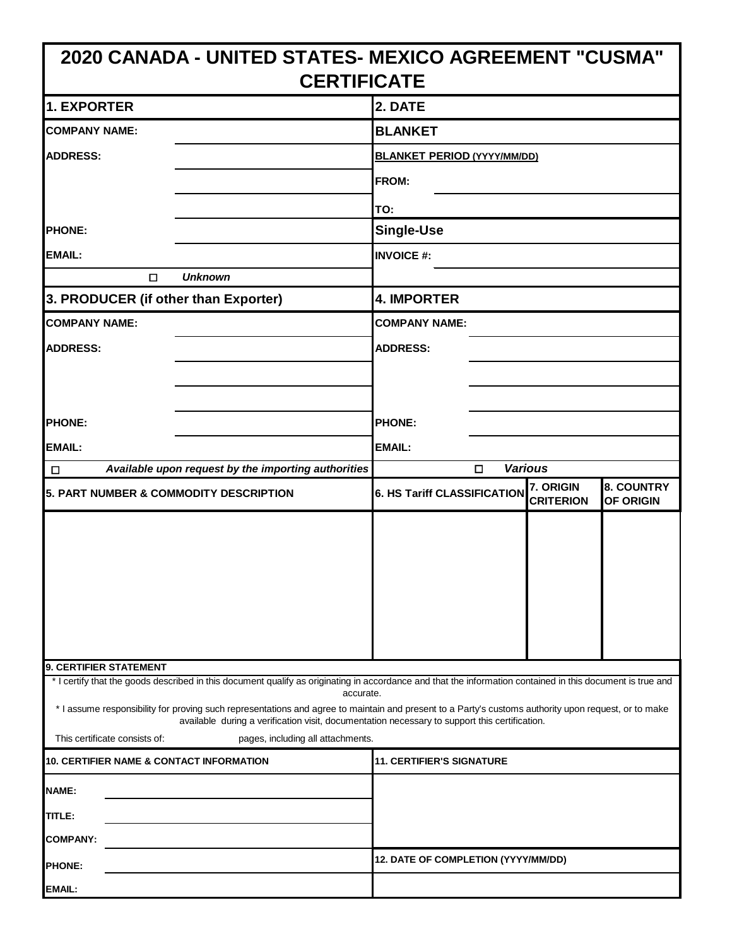| 2020 CANADA - UNITED STATES- MEXICO AGREEMENT "CUSMA"                                                                                                                                                                                                 |                                                                                                              |  |  |
|-------------------------------------------------------------------------------------------------------------------------------------------------------------------------------------------------------------------------------------------------------|--------------------------------------------------------------------------------------------------------------|--|--|
| <b>CERTIFICATE</b>                                                                                                                                                                                                                                    |                                                                                                              |  |  |
| 1. EXPORTER                                                                                                                                                                                                                                           | 2. DATE                                                                                                      |  |  |
| <b>COMPANY NAME:</b>                                                                                                                                                                                                                                  | <b>BLANKET</b>                                                                                               |  |  |
| <b>ADDRESS:</b>                                                                                                                                                                                                                                       | <b>BLANKET PERIOD (YYYY/MM/DD)</b>                                                                           |  |  |
|                                                                                                                                                                                                                                                       | FROM:                                                                                                        |  |  |
|                                                                                                                                                                                                                                                       | TO:                                                                                                          |  |  |
| <b>PHONE:</b>                                                                                                                                                                                                                                         | <b>Single-Use</b>                                                                                            |  |  |
| <b>EMAIL:</b>                                                                                                                                                                                                                                         | <b>INVOICE #:</b>                                                                                            |  |  |
| <b>Unknown</b><br>□                                                                                                                                                                                                                                   |                                                                                                              |  |  |
| 3. PRODUCER (if other than Exporter)                                                                                                                                                                                                                  | <b>4. IMPORTER</b>                                                                                           |  |  |
| <b>COMPANY NAME:</b>                                                                                                                                                                                                                                  | <b>COMPANY NAME:</b>                                                                                         |  |  |
| <b>ADDRESS:</b>                                                                                                                                                                                                                                       | <b>ADDRESS:</b>                                                                                              |  |  |
|                                                                                                                                                                                                                                                       |                                                                                                              |  |  |
|                                                                                                                                                                                                                                                       |                                                                                                              |  |  |
| <b>PHONE:</b>                                                                                                                                                                                                                                         | <b>PHONE:</b>                                                                                                |  |  |
| <b>EMAIL:</b>                                                                                                                                                                                                                                         | <b>EMAIL:</b>                                                                                                |  |  |
| Available upon request by the importing authorities<br>$\Box$                                                                                                                                                                                         | <b>Various</b><br>□                                                                                          |  |  |
| 5. PART NUMBER & COMMODITY DESCRIPTION                                                                                                                                                                                                                | <b>8. COUNTRY</b><br>7. ORIGIN<br><b>6. HS Tariff CLASSIFICATION</b><br><b>CRITERION</b><br><b>OF ORIGIN</b> |  |  |
|                                                                                                                                                                                                                                                       |                                                                                                              |  |  |
|                                                                                                                                                                                                                                                       |                                                                                                              |  |  |
|                                                                                                                                                                                                                                                       |                                                                                                              |  |  |
|                                                                                                                                                                                                                                                       |                                                                                                              |  |  |
|                                                                                                                                                                                                                                                       |                                                                                                              |  |  |
|                                                                                                                                                                                                                                                       |                                                                                                              |  |  |
| 9. CERTIFIER STATEMENT                                                                                                                                                                                                                                |                                                                                                              |  |  |
| * I certify that the goods described in this document qualify as originating in accordance and that the information contained in this document is true and<br>accurate.                                                                               |                                                                                                              |  |  |
| * I assume responsibility for proving such representations and agree to maintain and present to a Party's customs authority upon request, or to make<br>available during a verification visit, documentation necessary to support this certification. |                                                                                                              |  |  |
| This certificate consists of:<br>pages, including all attachments.                                                                                                                                                                                    |                                                                                                              |  |  |
| <b>10. CERTIFIER NAME &amp; CONTACT INFORMATION</b>                                                                                                                                                                                                   | <b>11. CERTIFIER'S SIGNATURE</b>                                                                             |  |  |
| NAME:                                                                                                                                                                                                                                                 |                                                                                                              |  |  |
| TITLE:                                                                                                                                                                                                                                                |                                                                                                              |  |  |
| <b>COMPANY:</b>                                                                                                                                                                                                                                       |                                                                                                              |  |  |
| <b>PHONE:</b>                                                                                                                                                                                                                                         | 12. DATE OF COMPLETION (YYYY/MM/DD)                                                                          |  |  |
| EMAIL:                                                                                                                                                                                                                                                |                                                                                                              |  |  |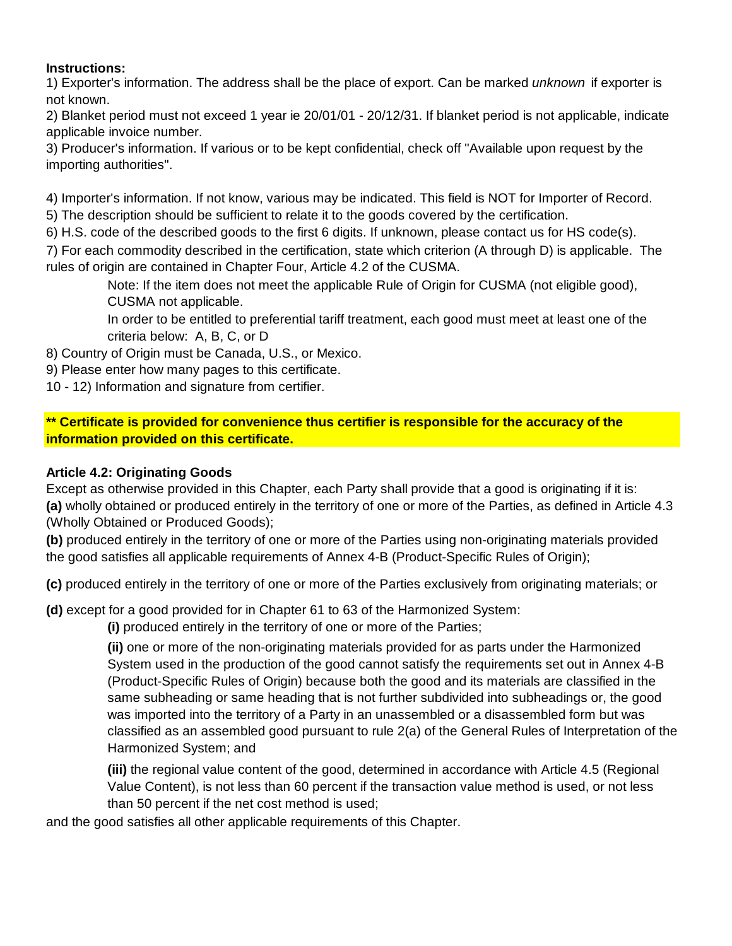## **Instructions:**

1) Exporter's information. The address shall be the place of export. Can be marked *unknown* if exporter is not known.

2) Blanket period must not exceed 1 year ie 20/01/01 - 20/12/31. If blanket period is not applicable, indicate applicable invoice number.

3) Producer's information. If various or to be kept confidential, check off "Available upon request by the importing authorities".

4) Importer's information. If not know, various may be indicated. This field is NOT for Importer of Record. 5) The description should be sufficient to relate it to the goods covered by the certification.

6) H.S. code of the described goods to the first 6 digits. If unknown, please contact us for HS code(s).

7) For each commodity described in the certification, state which criterion (A through D) is applicable. The rules of origin are contained in Chapter Four, Article 4.2 of the CUSMA.

Note: If the item does not meet the applicable Rule of Origin for CUSMA (not eligible good), CUSMA not applicable.

In order to be entitled to preferential tariff treatment, each good must meet at least one of the criteria below: A, B, C, or D

8) Country of Origin must be Canada, U.S., or Mexico.

- 9) Please enter how many pages to this certificate.
- 10 12) Information and signature from certifier.

**\*\* Certificate is provided for convenience thus certifier is responsible for the accuracy of the information provided on this certificate.**

## **Article 4.2: Originating Goods**

Except as otherwise provided in this Chapter, each Party shall provide that a good is originating if it is: **(a)** wholly obtained or produced entirely in the territory of one or more of the Parties, as defined in Article 4.3 (Wholly Obtained or Produced Goods);

**(b)** produced entirely in the territory of one or more of the Parties using non-originating materials provided the good satisfies all applicable requirements of Annex 4-B (Product-Specific Rules of Origin);

**(c)** produced entirely in the territory of one or more of the Parties exclusively from originating materials; or

**(d)** except for a good provided for in Chapter 61 to 63 of the Harmonized System:

**(i)** produced entirely in the territory of one or more of the Parties;

**(ii)** one or more of the non-originating materials provided for as parts under the Harmonized System used in the production of the good cannot satisfy the requirements set out in Annex 4-B (Product-Specific Rules of Origin) because both the good and its materials are classified in the same subheading or same heading that is not further subdivided into subheadings or, the good was imported into the territory of a Party in an unassembled or a disassembled form but was classified as an assembled good pursuant to rule 2(a) of the General Rules of Interpretation of the Harmonized System; and

**(iii)** the regional value content of the good, determined in accordance with Article 4.5 (Regional Value Content), is not less than 60 percent if the transaction value method is used, or not less than 50 percent if the net cost method is used;

and the good satisfies all other applicable requirements of this Chapter.